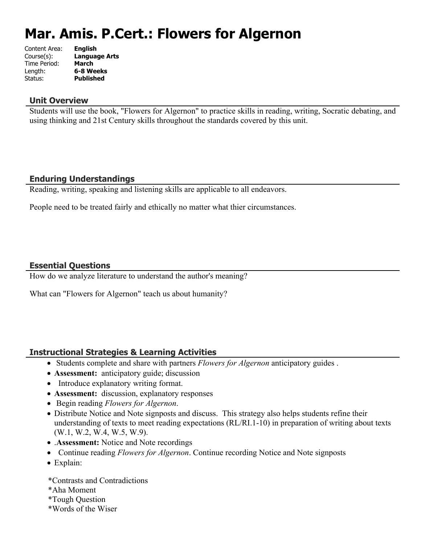# **Mar. Amis. P.Cert.: Flowers for Algernon**

| Content Area: | <b>English</b>       |
|---------------|----------------------|
| Course(s):    | <b>Language Arts</b> |
| Time Period:  | <b>March</b>         |
| Length:       | 6-8 Weeks            |
| Status:       | <b>Published</b>     |
|               |                      |

#### **Unit Overview**

Students will use the book, "Flowers for Algernon" to practice skills in reading, writing, Socratic debating, and using thinking and 21st Century skills throughout the standards covered by this unit.

## **Enduring Understandings**

Reading, writing, speaking and listening skills are applicable to all endeavors.

People need to be treated fairly and ethically no matter what thier circumstances.

#### **Essential Questions**

How do we analyze literature to understand the author's meaning?

What can "Flowers for Algernon" teach us about humanity?

#### **Instructional Strategies & Learning Activities**

- Students complete and share with partners *Flowers for Algernon* anticipatory guides .
- **Assessment:** anticipatory guide; discussion
- Introduce explanatory writing format.
- **Assessment:** discussion, explanatory responses
- Begin reading *Flowers for Algernon*.
- Distribute Notice and Note signposts and discuss. This strategy also helps students refine their understanding of texts to meet reading expectations (RL/RI.1-10) in preparation of writing about texts (W.1, W.2, W.4, W.5, W.9).
- .**Assessment:** Notice and Note recordings
- Continue reading *Flowers for Algernon*. Continue recording Notice and Note signposts
- Explain:

\*Contrasts and Contradictions

- \*Aha Moment
- \*Tough Question
- \*Words of the Wiser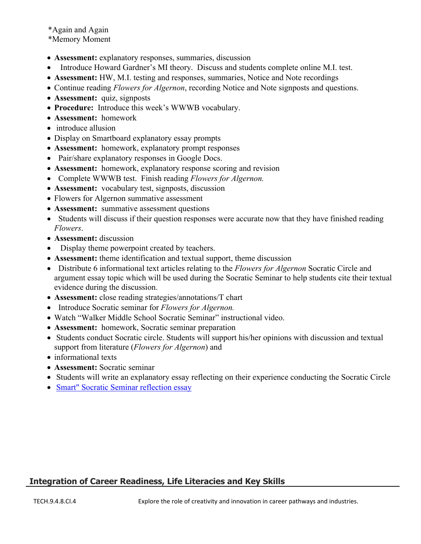\*Again and Again \*Memory Moment

- **Assessment:** explanatory responses, summaries, discussion
- Introduce Howard Gardner's MI theory. Discuss and students complete online M.I. test.
- **Assessment:** HW, M.I. testing and responses, summaries, Notice and Note recordings
- Continue reading *Flowers for Algernon*, recording Notice and Note signposts and questions.
- **Assessment:** quiz, signposts
- **Procedure:** Introduce this week's WWWB vocabulary.
- **Assessment:** homework
- introduce allusion
- Display on Smartboard explanatory essay prompts
- **Assessment:** homework, explanatory prompt responses
- Pair/share explanatory responses in Google Docs.
- **Assessment:** homework, explanatory response scoring and revision
- Complete WWWB test. Finish reading *Flowers for Algernon.*
- **Assessment:** vocabulary test, signposts, discussion
- Flowers for Algernon summative assessment
- **Assessment:** summative assessment questions
- Students will discuss if their question responses were accurate now that they have finished reading *Flowers*.
- **Assessment:** discussion
- Display theme powerpoint created by teachers.
- **Assessment:** theme identification and textual support, theme discussion
- Distribute 6 informational text articles relating to the *Flowers for Algernon* Socratic Circle and argument essay topic which will be used during the Socratic Seminar to help students cite their textual evidence during the discussion.
- **Assessment:** close reading strategies/annotations/T chart
- Introduce Socratic seminar for *Flowers for Algernon.*
- Watch "Walker Middle School Socratic Seminar" instructional video.
- **Assessment:** homework, Socratic seminar preparation
- Students conduct Socratic circle. Students will support his/her opinions with discussion and textual support from literature (*Flowers for Algernon*) and
- informational texts
- **Assessment:** Socratic seminar
- Students will write an explanatory essay reflecting on their experience conducting the Socratic Circle
- [Smart" Socratic Seminar reflection essay](https://classroom.google.com/u/0/c/MTgzOTM0MDU0/a/ODYyMDgyOTc2/submissions/by-status/and-sort-name/list)

## **Integration of Career Readiness, Life Literacies and Key Skills**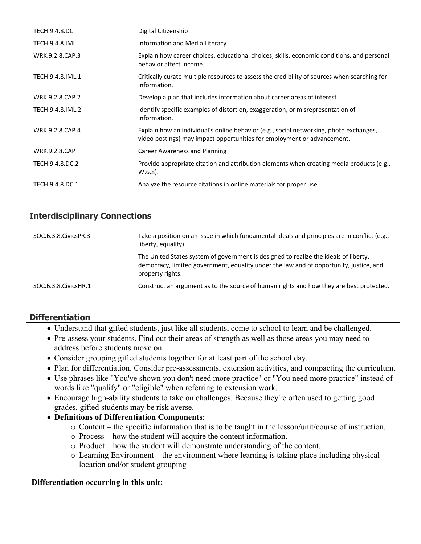| <b>TECH.9.4.8.DC</b>  | Digital Citizenship                                                                                                                                               |
|-----------------------|-------------------------------------------------------------------------------------------------------------------------------------------------------------------|
| <b>TECH.9.4.8.IML</b> | Information and Media Literacy                                                                                                                                    |
| WRK.9.2.8.CAP.3       | Explain how career choices, educational choices, skills, economic conditions, and personal<br>behavior affect income.                                             |
| TECH.9.4.8.IML.1      | Critically curate multiple resources to assess the credibility of sources when searching for<br>information.                                                      |
| WRK.9.2.8.CAP.2       | Develop a plan that includes information about career areas of interest.                                                                                          |
| TECH.9.4.8.IML.2      | Identify specific examples of distortion, exaggeration, or misrepresentation of<br>information.                                                                   |
| WRK.9.2.8.CAP.4       | Explain how an individual's online behavior (e.g., social networking, photo exchanges,<br>video postings) may impact opportunities for employment or advancement. |
| <b>WRK.9.2.8.CAP</b>  | Career Awareness and Planning                                                                                                                                     |
| TECH.9.4.8.DC.2       | Provide appropriate citation and attribution elements when creating media products (e.g.,<br>$W.6.8$ ).                                                           |
| TECH.9.4.8.DC.1       | Analyze the resource citations in online materials for proper use.                                                                                                |

## **Interdisciplinary Connections**

| SOC.6.3.8. Civics PR.3  | Take a position on an issue in which fundamental ideals and principles are in conflict (e.g.,<br>liberty, equality).                                                                               |
|-------------------------|----------------------------------------------------------------------------------------------------------------------------------------------------------------------------------------------------|
|                         | The United States system of government is designed to realize the ideals of liberty,<br>democracy, limited government, equality under the law and of opportunity, justice, and<br>property rights. |
| SOC.6.3.8. Civics HR. 1 | Construct an argument as to the source of human rights and how they are best protected.                                                                                                            |

# **Differentiation**

- Understand that gifted students, just like all students, come to school to learn and be challenged.
- Pre-assess your students. Find out their areas of strength as well as those areas you may need to address before students move on.
- Consider grouping gifted students together for at least part of the school day.
- Plan for differentiation. Consider pre-assessments, extension activities, and compacting the curriculum.
- Use phrases like "You've shown you don't need more practice" or "You need more practice" instead of words like "qualify" or "eligible" when referring to extension work.
- Encourage high-ability students to take on challenges. Because they're often used to getting good grades, gifted students may be risk averse.
- **Definitions of Differentiation Components**:
	- o Content the specific information that is to be taught in the lesson/unit/course of instruction.
	- o Process how the student will acquire the content information.
	- o Product how the student will demonstrate understanding of the content.
	- o Learning Environment the environment where learning is taking place including physical location and/or student grouping

#### **Differentiation occurring in this unit:**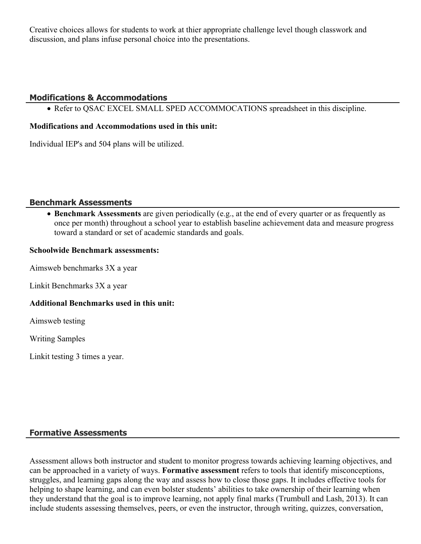Creative choices allows for students to work at thier appropriate challenge level though classwork and discussion, and plans infuse personal choice into the presentations.

## **Modifications & Accommodations**

• Refer to QSAC EXCEL SMALL SPED ACCOMMOCATIONS spreadsheet in this discipline.

#### **Modifications and Accommodations used in this unit:**

Individual IEP's and 504 plans will be utilized.

#### **Benchmark Assessments**

 **Benchmark Assessments** are given periodically (e.g., at the end of every quarter or as frequently as once per month) throughout a school year to establish baseline achievement data and measure progress toward a standard or set of academic standards and goals.

#### **Schoolwide Benchmark assessments:**

Aimsweb benchmarks 3X a year

Linkit Benchmarks 3X a year

#### **Additional Benchmarks used in this unit:**

Aimsweb testing

Writing Samples

Linkit testing 3 times a year.

#### **Formative Assessments**

Assessment allows both instructor and student to monitor progress towards achieving learning objectives, and can be approached in a variety of ways. **Formative assessment** refers to tools that identify misconceptions, struggles, and learning gaps along the way and assess how to close those gaps. It includes effective tools for helping to shape learning, and can even bolster students' abilities to take ownership of their learning when they understand that the goal is to improve learning, not apply final marks (Trumbull and Lash, 2013). It can include students assessing themselves, peers, or even the instructor, through writing, quizzes, conversation,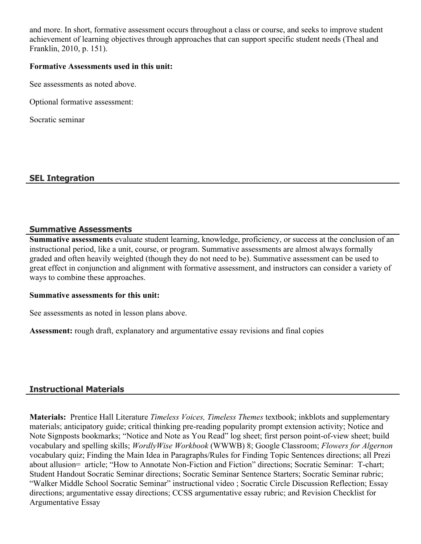and more. In short, formative assessment occurs throughout a class or course, and seeks to improve student achievement of learning objectives through approaches that can support specific student needs (Theal and Franklin, 2010, p. 151).

#### **Formative Assessments used in this unit:**

See assessments as noted above.

Optional formative assessment:

Socratic seminar

## **SEL Integration**

#### **Summative Assessments**

**Summative assessments** evaluate student learning, knowledge, proficiency, or success at the conclusion of an instructional period, like a unit, course, or program. Summative assessments are almost always formally graded and often heavily weighted (though they do not need to be). Summative assessment can be used to great effect in conjunction and alignment with formative assessment, and instructors can consider a variety of ways to combine these approaches.

#### **Summative assessments for this unit:**

See assessments as noted in lesson plans above.

**Assessment:** rough draft, explanatory and argumentative essay revisions and final copies

#### **Instructional Materials**

**Materials:** Prentice Hall Literature *Timeless Voices, Timeless Themes* textbook; inkblots and supplementary materials; anticipatory guide; critical thinking pre-reading popularity prompt extension activity; Notice and Note Signposts bookmarks; "Notice and Note as You Read" log sheet; first person point-of-view sheet; build vocabulary and spelling skills; *WordlyWise Workbook* (WWWB) 8; Google Classroom; *Flowers for Algernon* vocabulary quiz; Finding the Main Idea in Paragraphs/Rules for Finding Topic Sentences directions; all Prezi about allusion= article; "How to Annotate Non-Fiction and Fiction" directions; Socratic Seminar: T-chart; Student Handout Socratic Seminar directions; Socratic Seminar Sentence Starters; Socratic Seminar rubric; "Walker Middle School Socratic Seminar" instructional video ; Socratic Circle Discussion Reflection; Essay directions; argumentative essay directions; CCSS argumentative essay rubric; and Revision Checklist for Argumentative Essay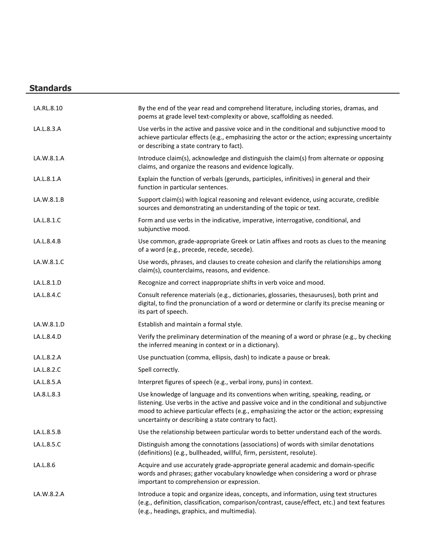# **Standards**

| LA.RL.8.10 | By the end of the year read and comprehend literature, including stories, dramas, and<br>poems at grade level text-complexity or above, scaffolding as needed.                                                                                                                                                                        |
|------------|---------------------------------------------------------------------------------------------------------------------------------------------------------------------------------------------------------------------------------------------------------------------------------------------------------------------------------------|
| LA.L.8.3.A | Use verbs in the active and passive voice and in the conditional and subjunctive mood to<br>achieve particular effects (e.g., emphasizing the actor or the action; expressing uncertainty<br>or describing a state contrary to fact).                                                                                                 |
| LA.W.8.1.A | Introduce claim(s), acknowledge and distinguish the claim(s) from alternate or opposing<br>claims, and organize the reasons and evidence logically.                                                                                                                                                                                   |
| LA.L.8.1.A | Explain the function of verbals (gerunds, participles, infinitives) in general and their<br>function in particular sentences.                                                                                                                                                                                                         |
| LA.W.8.1.B | Support claim(s) with logical reasoning and relevant evidence, using accurate, credible<br>sources and demonstrating an understanding of the topic or text.                                                                                                                                                                           |
| LA.L.8.1.C | Form and use verbs in the indicative, imperative, interrogative, conditional, and<br>subjunctive mood.                                                                                                                                                                                                                                |
| LA.L.8.4.B | Use common, grade-appropriate Greek or Latin affixes and roots as clues to the meaning<br>of a word (e.g., precede, recede, secede).                                                                                                                                                                                                  |
| LA.W.8.1.C | Use words, phrases, and clauses to create cohesion and clarify the relationships among<br>claim(s), counterclaims, reasons, and evidence.                                                                                                                                                                                             |
| LA.L.8.1.D | Recognize and correct inappropriate shifts in verb voice and mood.                                                                                                                                                                                                                                                                    |
| LA.L.8.4.C | Consult reference materials (e.g., dictionaries, glossaries, thesauruses), both print and<br>digital, to find the pronunciation of a word or determine or clarify its precise meaning or<br>its part of speech.                                                                                                                       |
| LA.W.8.1.D | Establish and maintain a formal style.                                                                                                                                                                                                                                                                                                |
| LA.L.8.4.D | Verify the preliminary determination of the meaning of a word or phrase (e.g., by checking<br>the inferred meaning in context or in a dictionary).                                                                                                                                                                                    |
| LA.L.8.2.A | Use punctuation (comma, ellipsis, dash) to indicate a pause or break.                                                                                                                                                                                                                                                                 |
| LA.L.8.2.C | Spell correctly.                                                                                                                                                                                                                                                                                                                      |
| LA.L.8.5.A | Interpret figures of speech (e.g., verbal irony, puns) in context.                                                                                                                                                                                                                                                                    |
| LA.8.L.8.3 | Use knowledge of language and its conventions when writing, speaking, reading, or<br>listening. Use verbs in the active and passive voice and in the conditional and subjunctive<br>mood to achieve particular effects (e.g., emphasizing the actor or the action; expressing<br>uncertainty or describing a state contrary to fact). |
| LA.L.8.5.B | Use the relationship between particular words to better understand each of the words.                                                                                                                                                                                                                                                 |
| LA.L.8.5.C | Distinguish among the connotations (associations) of words with similar denotations<br>(definitions) (e.g., bullheaded, willful, firm, persistent, resolute).                                                                                                                                                                         |
| LA.L.8.6   | Acquire and use accurately grade-appropriate general academic and domain-specific<br>words and phrases; gather vocabulary knowledge when considering a word or phrase<br>important to comprehension or expression.                                                                                                                    |
| LA.W.8.2.A | Introduce a topic and organize ideas, concepts, and information, using text structures<br>(e.g., definition, classification, comparison/contrast, cause/effect, etc.) and text features<br>(e.g., headings, graphics, and multimedia).                                                                                                |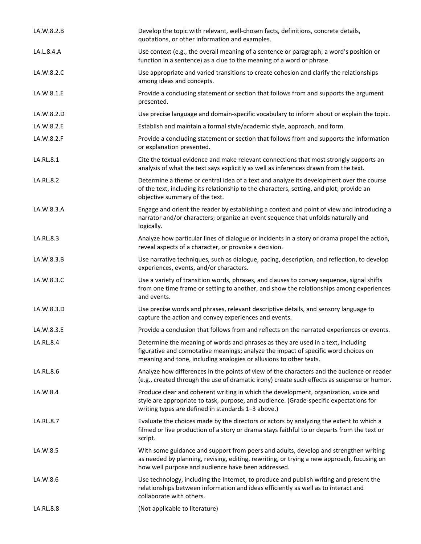| LA.W.8.2.B | Develop the topic with relevant, well-chosen facts, definitions, concrete details,<br>quotations, or other information and examples.                                                                                                          |
|------------|-----------------------------------------------------------------------------------------------------------------------------------------------------------------------------------------------------------------------------------------------|
| LA.L.8.4.A | Use context (e.g., the overall meaning of a sentence or paragraph; a word's position or<br>function in a sentence) as a clue to the meaning of a word or phrase.                                                                              |
| LA.W.8.2.C | Use appropriate and varied transitions to create cohesion and clarify the relationships<br>among ideas and concepts.                                                                                                                          |
| LA.W.8.1.E | Provide a concluding statement or section that follows from and supports the argument<br>presented.                                                                                                                                           |
| LA.W.8.2.D | Use precise language and domain-specific vocabulary to inform about or explain the topic.                                                                                                                                                     |
| LA.W.8.2.E | Establish and maintain a formal style/academic style, approach, and form.                                                                                                                                                                     |
| LA.W.8.2.F | Provide a concluding statement or section that follows from and supports the information<br>or explanation presented.                                                                                                                         |
| LA.RL.8.1  | Cite the textual evidence and make relevant connections that most strongly supports an<br>analysis of what the text says explicitly as well as inferences drawn from the text.                                                                |
| LA.RL.8.2  | Determine a theme or central idea of a text and analyze its development over the course<br>of the text, including its relationship to the characters, setting, and plot; provide an<br>objective summary of the text.                         |
| LA.W.8.3.A | Engage and orient the reader by establishing a context and point of view and introducing a<br>narrator and/or characters; organize an event sequence that unfolds naturally and<br>logically.                                                 |
| LA.RL.8.3  | Analyze how particular lines of dialogue or incidents in a story or drama propel the action,<br>reveal aspects of a character, or provoke a decision.                                                                                         |
| LA.W.8.3.B | Use narrative techniques, such as dialogue, pacing, description, and reflection, to develop<br>experiences, events, and/or characters.                                                                                                        |
| LA.W.8.3.C | Use a variety of transition words, phrases, and clauses to convey sequence, signal shifts<br>from one time frame or setting to another, and show the relationships among experiences<br>and events.                                           |
| LA.W.8.3.D | Use precise words and phrases, relevant descriptive details, and sensory language to<br>capture the action and convey experiences and events.                                                                                                 |
| LA.W.8.3.E | Provide a conclusion that follows from and reflects on the narrated experiences or events.                                                                                                                                                    |
| LA.RL.8.4  | Determine the meaning of words and phrases as they are used in a text, including<br>figurative and connotative meanings; analyze the impact of specific word choices on<br>meaning and tone, including analogies or allusions to other texts. |
| LA.RL.8.6  | Analyze how differences in the points of view of the characters and the audience or reader<br>(e.g., created through the use of dramatic irony) create such effects as suspense or humor.                                                     |
| LA.W.8.4   | Produce clear and coherent writing in which the development, organization, voice and<br>style are appropriate to task, purpose, and audience. (Grade-specific expectations for<br>writing types are defined in standards 1-3 above.)          |
| LA.RL.8.7  | Evaluate the choices made by the directors or actors by analyzing the extent to which a<br>filmed or live production of a story or drama stays faithful to or departs from the text or<br>script.                                             |
| LA.W.8.5   | With some guidance and support from peers and adults, develop and strengthen writing<br>as needed by planning, revising, editing, rewriting, or trying a new approach, focusing on<br>how well purpose and audience have been addressed.      |
| LA.W.8.6   | Use technology, including the Internet, to produce and publish writing and present the<br>relationships between information and ideas efficiently as well as to interact and<br>collaborate with others.                                      |
| LA.RL.8.8  | (Not applicable to literature)                                                                                                                                                                                                                |